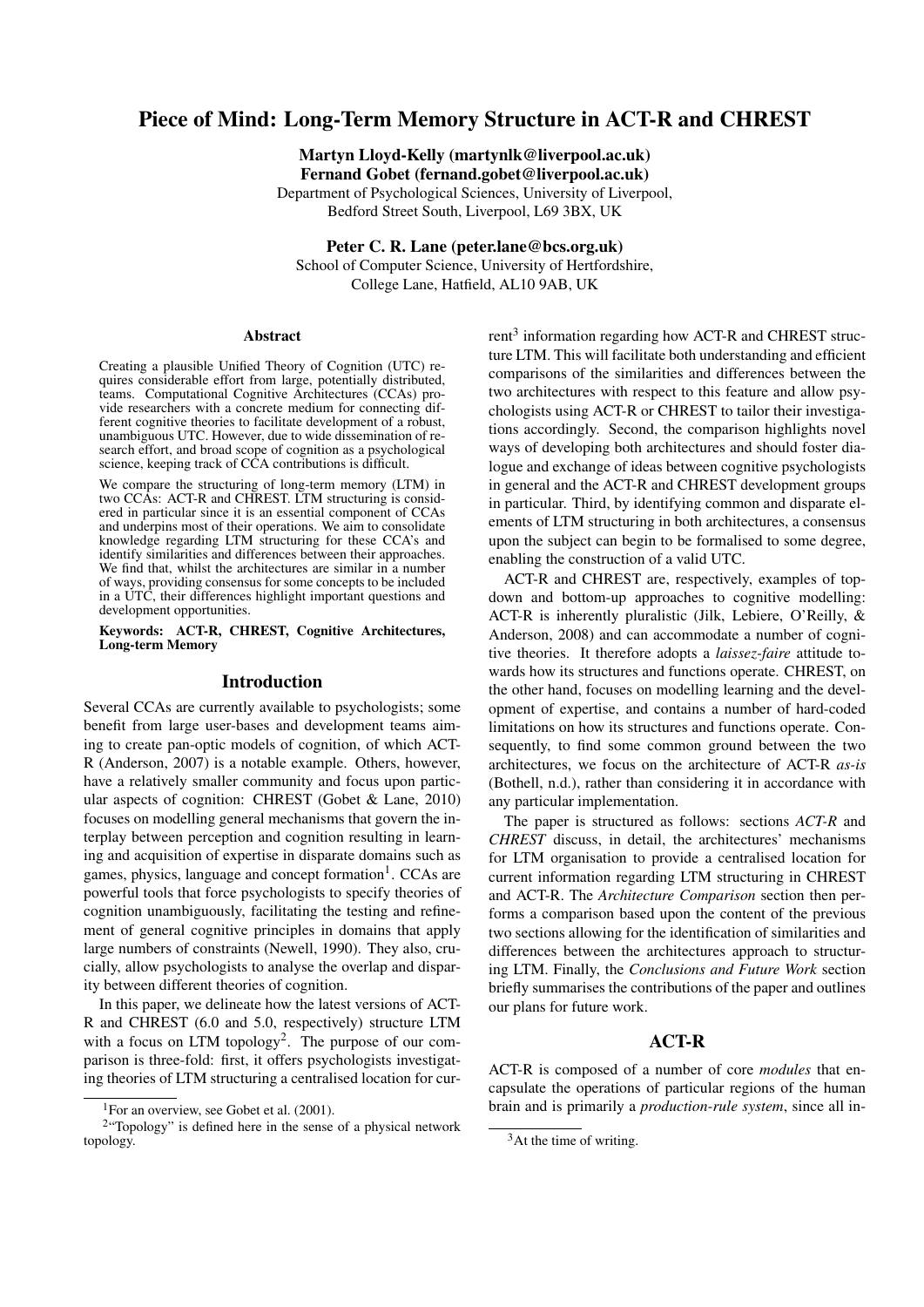# Piece of Mind: Long-Term Memory Structure in ACT-R and CHREST

Martyn Lloyd-Kelly (martynlk@liverpool.ac.uk) Fernand Gobet (fernand.gobet@liverpool.ac.uk)

Department of Psychological Sciences, University of Liverpool, Bedford Street South, Liverpool, L69 3BX, UK

Peter C. R. Lane (peter.lane@bcs.org.uk)

School of Computer Science, University of Hertfordshire, College Lane, Hatfield, AL10 9AB, UK

#### Abstract

Creating a plausible Unified Theory of Cognition (UTC) requires considerable effort from large, potentially distributed, teams. Computational Cognitive Architectures (CCAs) provide researchers with a concrete medium for connecting different cognitive theories to facilitate development of a robust, unambiguous UTC. However, due to wide dissemination of research effort, and broad scope of cognition as a psychological science, keeping track of CCA contributions is difficult.

We compare the structuring of long-term memory (LTM) in two CCAs: ACT-R and CHREST. LTM structuring is considered in particular since it is an essential component of CCAs and underpins most of their operations. We aim to consolidate knowledge regarding LTM structuring for these CCA's and identify similarities and differences between their approaches. We find that, whilst the architectures are similar in a number of ways, providing consensus for some concepts to be included in a UTC, their differences highlight important questions and development opportunities.

Keywords: ACT-R, CHREST, Cognitive Architectures, Long-term Memory

#### Introduction

Several CCAs are currently available to psychologists; some benefit from large user-bases and development teams aiming to create pan-optic models of cognition, of which ACT-R (Anderson, 2007) is a notable example. Others, however, have a relatively smaller community and focus upon particular aspects of cognition: CHREST (Gobet & Lane, 2010) focuses on modelling general mechanisms that govern the interplay between perception and cognition resulting in learning and acquisition of expertise in disparate domains such as games, physics, language and concept formation<sup>1</sup>. CCAs are powerful tools that force psychologists to specify theories of cognition unambiguously, facilitating the testing and refinement of general cognitive principles in domains that apply large numbers of constraints (Newell, 1990). They also, crucially, allow psychologists to analyse the overlap and disparity between different theories of cognition.

In this paper, we delineate how the latest versions of ACT-R and CHREST (6.0 and 5.0, respectively) structure LTM with a focus on LTM topology<sup>2</sup>. The purpose of our comparison is three-fold: first, it offers psychologists investigating theories of LTM structuring a centralised location for cur-

 $rent<sup>3</sup>$  information regarding how ACT-R and CHREST structure LTM. This will facilitate both understanding and efficient comparisons of the similarities and differences between the two architectures with respect to this feature and allow psychologists using ACT-R or CHREST to tailor their investigations accordingly. Second, the comparison highlights novel ways of developing both architectures and should foster dialogue and exchange of ideas between cognitive psychologists in general and the ACT-R and CHREST development groups in particular. Third, by identifying common and disparate elements of LTM structuring in both architectures, a consensus upon the subject can begin to be formalised to some degree, enabling the construction of a valid UTC.

ACT-R and CHREST are, respectively, examples of topdown and bottom-up approaches to cognitive modelling: ACT-R is inherently pluralistic (Jilk, Lebiere, O'Reilly, & Anderson, 2008) and can accommodate a number of cognitive theories. It therefore adopts a *laissez-faire* attitude towards how its structures and functions operate. CHREST, on the other hand, focuses on modelling learning and the development of expertise, and contains a number of hard-coded limitations on how its structures and functions operate. Consequently, to find some common ground between the two architectures, we focus on the architecture of ACT-R *as-is* (Bothell, n.d.), rather than considering it in accordance with any particular implementation.

The paper is structured as follows: sections *ACT-R* and *CHREST* discuss, in detail, the architectures' mechanisms for LTM organisation to provide a centralised location for current information regarding LTM structuring in CHREST and ACT-R. The *Architecture Comparison* section then performs a comparison based upon the content of the previous two sections allowing for the identification of similarities and differences between the architectures approach to structuring LTM. Finally, the *Conclusions and Future Work* section briefly summarises the contributions of the paper and outlines our plans for future work.

### ACT-R

ACT-R is composed of a number of core *modules* that encapsulate the operations of particular regions of the human brain and is primarily a *production-rule system*, since all in-

<sup>&</sup>lt;sup>1</sup>For an overview, see Gobet et al.  $(2001)$ .

<sup>&</sup>lt;sup>2</sup> "Topology" is defined here in the sense of a physical network topology.

 $3$ At the time of writing.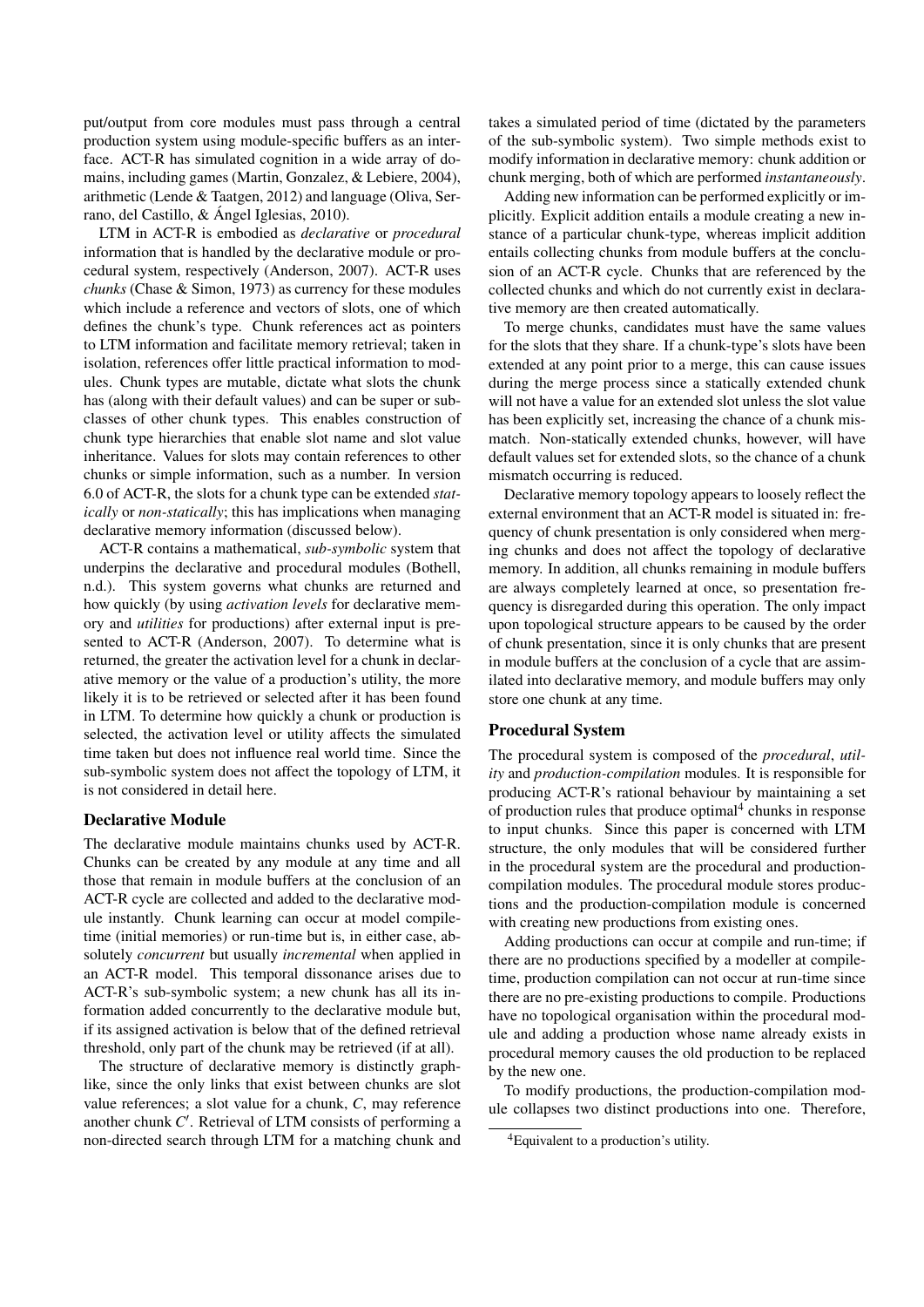put/output from core modules must pass through a central production system using module-specific buffers as an interface. ACT-R has simulated cognition in a wide array of domains, including games (Martin, Gonzalez, & Lebiere, 2004), arithmetic (Lende & Taatgen, 2012) and language (Oliva, Serrano, del Castillo, & Ángel Iglesias, 2010).

LTM in ACT-R is embodied as *declarative* or *procedural* information that is handled by the declarative module or procedural system, respectively (Anderson, 2007). ACT-R uses *chunks* (Chase & Simon, 1973) as currency for these modules which include a reference and vectors of slots, one of which defines the chunk's type. Chunk references act as pointers to LTM information and facilitate memory retrieval; taken in isolation, references offer little practical information to modules. Chunk types are mutable, dictate what slots the chunk has (along with their default values) and can be super or subclasses of other chunk types. This enables construction of chunk type hierarchies that enable slot name and slot value inheritance. Values for slots may contain references to other chunks or simple information, such as a number. In version 6.0 of ACT-R, the slots for a chunk type can be extended *statically* or *non-statically*; this has implications when managing declarative memory information (discussed below).

ACT-R contains a mathematical, *sub-symbolic* system that underpins the declarative and procedural modules (Bothell, n.d.). This system governs what chunks are returned and how quickly (by using *activation levels* for declarative memory and *utilities* for productions) after external input is presented to ACT-R (Anderson, 2007). To determine what is returned, the greater the activation level for a chunk in declarative memory or the value of a production's utility, the more likely it is to be retrieved or selected after it has been found in LTM. To determine how quickly a chunk or production is selected, the activation level or utility affects the simulated time taken but does not influence real world time. Since the sub-symbolic system does not affect the topology of LTM, it is not considered in detail here.

#### Declarative Module

The declarative module maintains chunks used by ACT-R. Chunks can be created by any module at any time and all those that remain in module buffers at the conclusion of an ACT-R cycle are collected and added to the declarative module instantly. Chunk learning can occur at model compiletime (initial memories) or run-time but is, in either case, absolutely *concurrent* but usually *incremental* when applied in an ACT-R model. This temporal dissonance arises due to ACT-R's sub-symbolic system; a new chunk has all its information added concurrently to the declarative module but, if its assigned activation is below that of the defined retrieval threshold, only part of the chunk may be retrieved (if at all).

The structure of declarative memory is distinctly graphlike, since the only links that exist between chunks are slot value references; a slot value for a chunk, *C*, may reference another chunk  $C'$ . Retrieval of LTM consists of performing a non-directed search through LTM for a matching chunk and

takes a simulated period of time (dictated by the parameters of the sub-symbolic system). Two simple methods exist to modify information in declarative memory: chunk addition or chunk merging, both of which are performed *instantaneously*.

Adding new information can be performed explicitly or implicitly. Explicit addition entails a module creating a new instance of a particular chunk-type, whereas implicit addition entails collecting chunks from module buffers at the conclusion of an ACT-R cycle. Chunks that are referenced by the collected chunks and which do not currently exist in declarative memory are then created automatically.

To merge chunks, candidates must have the same values for the slots that they share. If a chunk-type's slots have been extended at any point prior to a merge, this can cause issues during the merge process since a statically extended chunk will not have a value for an extended slot unless the slot value has been explicitly set, increasing the chance of a chunk mismatch. Non-statically extended chunks, however, will have default values set for extended slots, so the chance of a chunk mismatch occurring is reduced.

Declarative memory topology appears to loosely reflect the external environment that an ACT-R model is situated in: frequency of chunk presentation is only considered when merging chunks and does not affect the topology of declarative memory. In addition, all chunks remaining in module buffers are always completely learned at once, so presentation frequency is disregarded during this operation. The only impact upon topological structure appears to be caused by the order of chunk presentation, since it is only chunks that are present in module buffers at the conclusion of a cycle that are assimilated into declarative memory, and module buffers may only store one chunk at any time.

#### Procedural System

The procedural system is composed of the *procedural*, *utility* and *production-compilation* modules. It is responsible for producing ACT-R's rational behaviour by maintaining a set of production rules that produce optimal<sup>4</sup> chunks in response to input chunks. Since this paper is concerned with LTM structure, the only modules that will be considered further in the procedural system are the procedural and productioncompilation modules. The procedural module stores productions and the production-compilation module is concerned with creating new productions from existing ones.

Adding productions can occur at compile and run-time; if there are no productions specified by a modeller at compiletime, production compilation can not occur at run-time since there are no pre-existing productions to compile. Productions have no topological organisation within the procedural module and adding a production whose name already exists in procedural memory causes the old production to be replaced by the new one.

To modify productions, the production-compilation module collapses two distinct productions into one. Therefore,

<sup>&</sup>lt;sup>4</sup>Equivalent to a production's utility.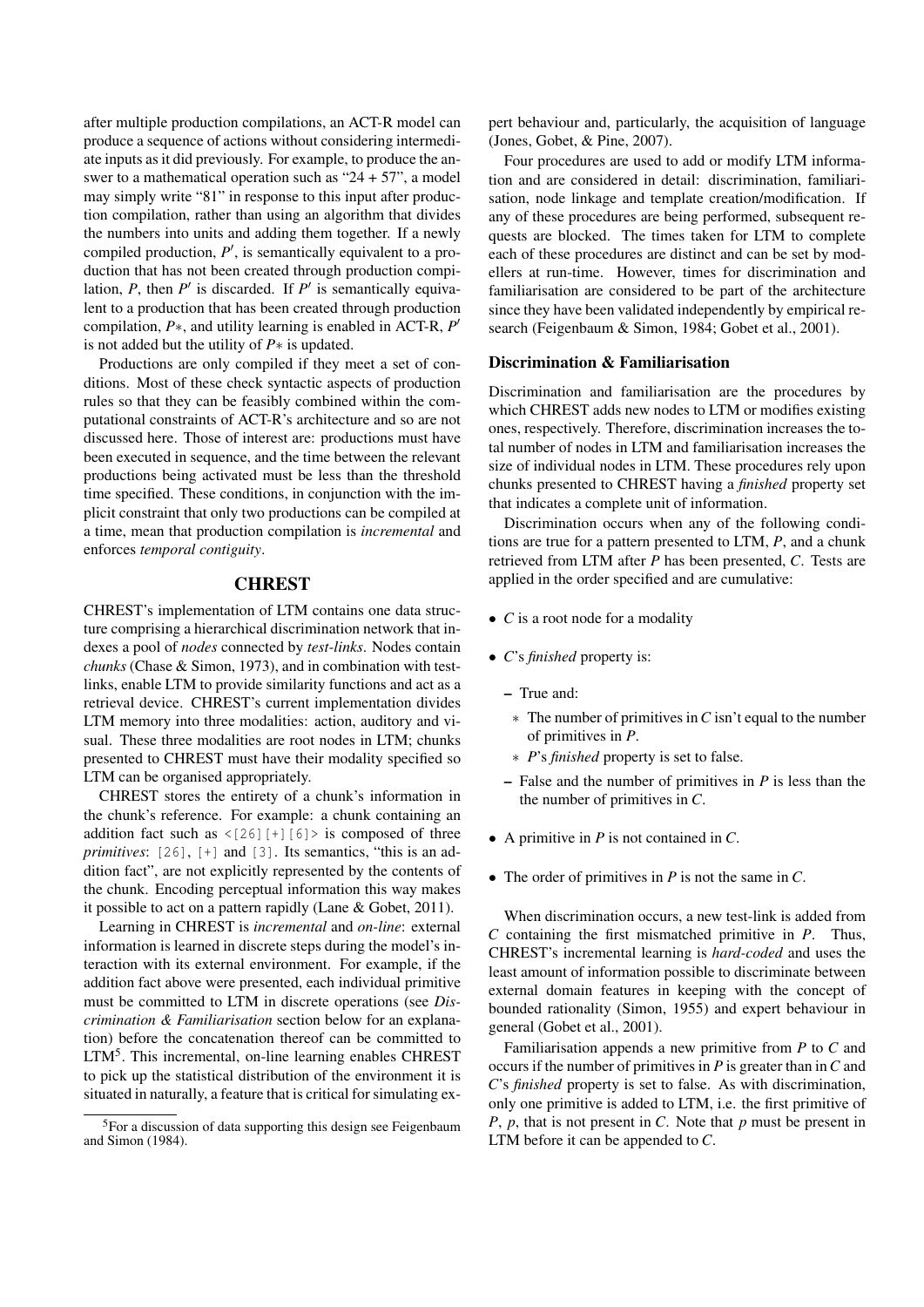after multiple production compilations, an ACT-R model can produce a sequence of actions without considering intermediate inputs as it did previously. For example, to produce the answer to a mathematical operation such as "24 + 57", a model may simply write "81" in response to this input after production compilation, rather than using an algorithm that divides the numbers into units and adding them together. If a newly compiled production,  $P'$ , is semantically equivalent to a production that has not been created through production compilation,  $P$ , then  $P'$  is discarded. If  $P'$  is semantically equivalent to a production that has been created through production compilation, *P*∗, and utility learning is enabled in ACT-R, *P* 0 is not added but the utility of *P*∗ is updated.

Productions are only compiled if they meet a set of conditions. Most of these check syntactic aspects of production rules so that they can be feasibly combined within the computational constraints of ACT-R's architecture and so are not discussed here. Those of interest are: productions must have been executed in sequence, and the time between the relevant productions being activated must be less than the threshold time specified. These conditions, in conjunction with the implicit constraint that only two productions can be compiled at a time, mean that production compilation is *incremental* and enforces *temporal contiguity*.

# **CHREST**

CHREST's implementation of LTM contains one data structure comprising a hierarchical discrimination network that indexes a pool of *nodes* connected by *test-links*. Nodes contain *chunks* (Chase & Simon, 1973), and in combination with testlinks, enable LTM to provide similarity functions and act as a retrieval device. CHREST's current implementation divides LTM memory into three modalities: action, auditory and visual. These three modalities are root nodes in LTM; chunks presented to CHREST must have their modality specified so LTM can be organised appropriately.

CHREST stores the entirety of a chunk's information in the chunk's reference. For example: a chunk containing an addition fact such as  $\langle 26 \rangle$  [+][6] > is composed of three *primitives*: [26], [+] and [3]. Its semantics, "this is an addition fact", are not explicitly represented by the contents of the chunk. Encoding perceptual information this way makes it possible to act on a pattern rapidly (Lane & Gobet, 2011).

Learning in CHREST is *incremental* and *on-line*: external information is learned in discrete steps during the model's interaction with its external environment. For example, if the addition fact above were presented, each individual primitive must be committed to LTM in discrete operations (see *Discrimination & Familiarisation* section below for an explanation) before the concatenation thereof can be committed to LTM<sup>5</sup>. This incremental, on-line learning enables CHREST to pick up the statistical distribution of the environment it is situated in naturally, a feature that is critical for simulating expert behaviour and, particularly, the acquisition of language (Jones, Gobet, & Pine, 2007).

Four procedures are used to add or modify LTM information and are considered in detail: discrimination, familiarisation, node linkage and template creation/modification. If any of these procedures are being performed, subsequent requests are blocked. The times taken for LTM to complete each of these procedures are distinct and can be set by modellers at run-time. However, times for discrimination and familiarisation are considered to be part of the architecture since they have been validated independently by empirical research (Feigenbaum & Simon, 1984; Gobet et al., 2001).

#### Discrimination & Familiarisation

Discrimination and familiarisation are the procedures by which CHREST adds new nodes to LTM or modifies existing ones, respectively. Therefore, discrimination increases the total number of nodes in LTM and familiarisation increases the size of individual nodes in LTM. These procedures rely upon chunks presented to CHREST having a *finished* property set that indicates a complete unit of information.

Discrimination occurs when any of the following conditions are true for a pattern presented to LTM, *P*, and a chunk retrieved from LTM after *P* has been presented, *C*. Tests are applied in the order specified and are cumulative:

- *C* is a root node for a modality
- *C*'s *finished* property is:
	- True and:
	- ∗ The number of primitives in*C* isn't equal to the number of primitives in *P*.
	- ∗ *P*'s *finished* property is set to false.
	- False and the number of primitives in *P* is less than the the number of primitives in *C*.
- A primitive in *P* is not contained in *C*.
- The order of primitives in *P* is not the same in *C*.

When discrimination occurs, a new test-link is added from *C* containing the first mismatched primitive in *P*. Thus, CHREST's incremental learning is *hard-coded* and uses the least amount of information possible to discriminate between external domain features in keeping with the concept of bounded rationality (Simon, 1955) and expert behaviour in general (Gobet et al., 2001).

Familiarisation appends a new primitive from *P* to *C* and occurs if the number of primitives in *P* is greater than in*C* and *C*'s *finished* property is set to false. As with discrimination, only one primitive is added to LTM, i.e. the first primitive of *P*, *p*, that is not present in *C*. Note that *p* must be present in LTM before it can be appended to *C*.

<sup>&</sup>lt;sup>5</sup>For a discussion of data supporting this design see Feigenbaum and Simon (1984).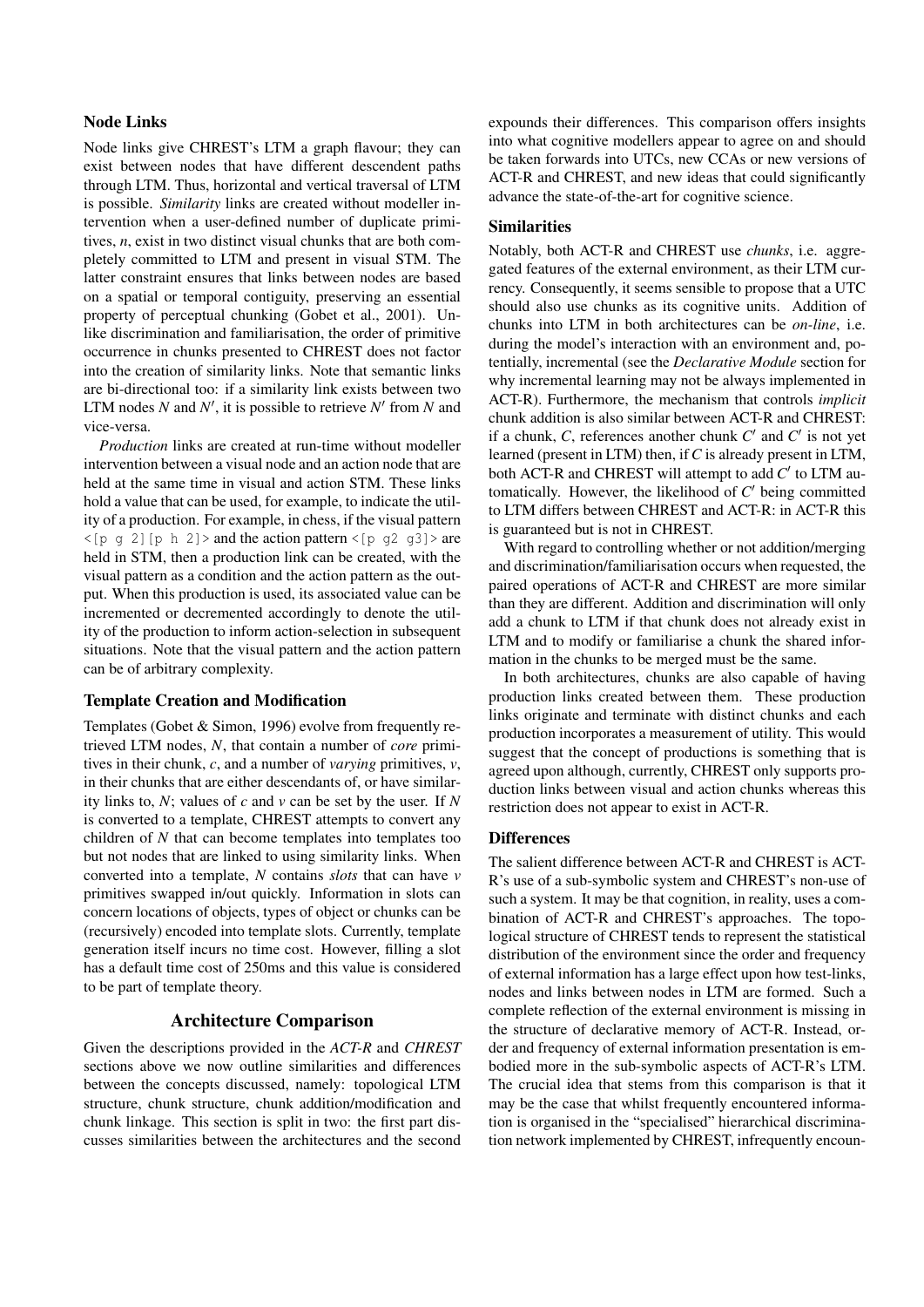#### Node Links

Node links give CHREST's LTM a graph flavour; they can exist between nodes that have different descendent paths through LTM. Thus, horizontal and vertical traversal of LTM is possible. *Similarity* links are created without modeller intervention when a user-defined number of duplicate primitives, *n*, exist in two distinct visual chunks that are both completely committed to LTM and present in visual STM. The latter constraint ensures that links between nodes are based on a spatial or temporal contiguity, preserving an essential property of perceptual chunking (Gobet et al., 2001). Unlike discrimination and familiarisation, the order of primitive occurrence in chunks presented to CHREST does not factor into the creation of similarity links. Note that semantic links are bi-directional too: if a similarity link exists between two LTM nodes  $N$  and  $N'$ , it is possible to retrieve  $N'$  from  $N$  and vice-versa.

*Production* links are created at run-time without modeller intervention between a visual node and an action node that are held at the same time in visual and action STM. These links hold a value that can be used, for example, to indicate the utility of a production. For example, in chess, if the visual pattern  $\langle p \mid p \rangle$  and the action pattern  $\langle p \mid q \rangle$  g and  $\langle p \mid q \rangle$  are held in STM, then a production link can be created, with the visual pattern as a condition and the action pattern as the output. When this production is used, its associated value can be incremented or decremented accordingly to denote the utility of the production to inform action-selection in subsequent situations. Note that the visual pattern and the action pattern can be of arbitrary complexity.

#### Template Creation and Modification

Templates (Gobet & Simon, 1996) evolve from frequently retrieved LTM nodes, *N*, that contain a number of *core* primitives in their chunk, *c*, and a number of *varying* primitives, *v*, in their chunks that are either descendants of, or have similarity links to, *N*; values of *c* and *v* can be set by the user. If *N* is converted to a template, CHREST attempts to convert any children of *N* that can become templates into templates too but not nodes that are linked to using similarity links. When converted into a template, *N* contains *slots* that can have *v* primitives swapped in/out quickly. Information in slots can concern locations of objects, types of object or chunks can be (recursively) encoded into template slots. Currently, template generation itself incurs no time cost. However, filling a slot has a default time cost of 250ms and this value is considered to be part of template theory.

# Architecture Comparison

Given the descriptions provided in the *ACT-R* and *CHREST* sections above we now outline similarities and differences between the concepts discussed, namely: topological LTM structure, chunk structure, chunk addition/modification and chunk linkage. This section is split in two: the first part discusses similarities between the architectures and the second expounds their differences. This comparison offers insights into what cognitive modellers appear to agree on and should be taken forwards into UTCs, new CCAs or new versions of ACT-R and CHREST, and new ideas that could significantly advance the state-of-the-art for cognitive science.

# Similarities

Notably, both ACT-R and CHREST use *chunks*, i.e. aggregated features of the external environment, as their LTM currency. Consequently, it seems sensible to propose that a UTC should also use chunks as its cognitive units. Addition of chunks into LTM in both architectures can be *on-line*, i.e. during the model's interaction with an environment and, potentially, incremental (see the *Declarative Module* section for why incremental learning may not be always implemented in ACT-R). Furthermore, the mechanism that controls *implicit* chunk addition is also similar between ACT-R and CHREST: if a chunk,  $C$ , references another chunk  $C'$  and  $C'$  is not yet learned (present in LTM) then, if*C* is already present in LTM, both ACT-R and CHREST will attempt to add  $C'$  to LTM automatically. However, the likelihood of  $C'$  being committed to LTM differs between CHREST and ACT-R: in ACT-R this is guaranteed but is not in CHREST.

With regard to controlling whether or not addition/merging and discrimination/familiarisation occurs when requested, the paired operations of ACT-R and CHREST are more similar than they are different. Addition and discrimination will only add a chunk to LTM if that chunk does not already exist in LTM and to modify or familiarise a chunk the shared information in the chunks to be merged must be the same.

In both architectures, chunks are also capable of having production links created between them. These production links originate and terminate with distinct chunks and each production incorporates a measurement of utility. This would suggest that the concept of productions is something that is agreed upon although, currently, CHREST only supports production links between visual and action chunks whereas this restriction does not appear to exist in ACT-R.

#### **Differences**

The salient difference between ACT-R and CHREST is ACT-R's use of a sub-symbolic system and CHREST's non-use of such a system. It may be that cognition, in reality, uses a combination of ACT-R and CHREST's approaches. The topological structure of CHREST tends to represent the statistical distribution of the environment since the order and frequency of external information has a large effect upon how test-links, nodes and links between nodes in LTM are formed. Such a complete reflection of the external environment is missing in the structure of declarative memory of ACT-R. Instead, order and frequency of external information presentation is embodied more in the sub-symbolic aspects of ACT-R's LTM. The crucial idea that stems from this comparison is that it may be the case that whilst frequently encountered information is organised in the "specialised" hierarchical discrimination network implemented by CHREST, infrequently encoun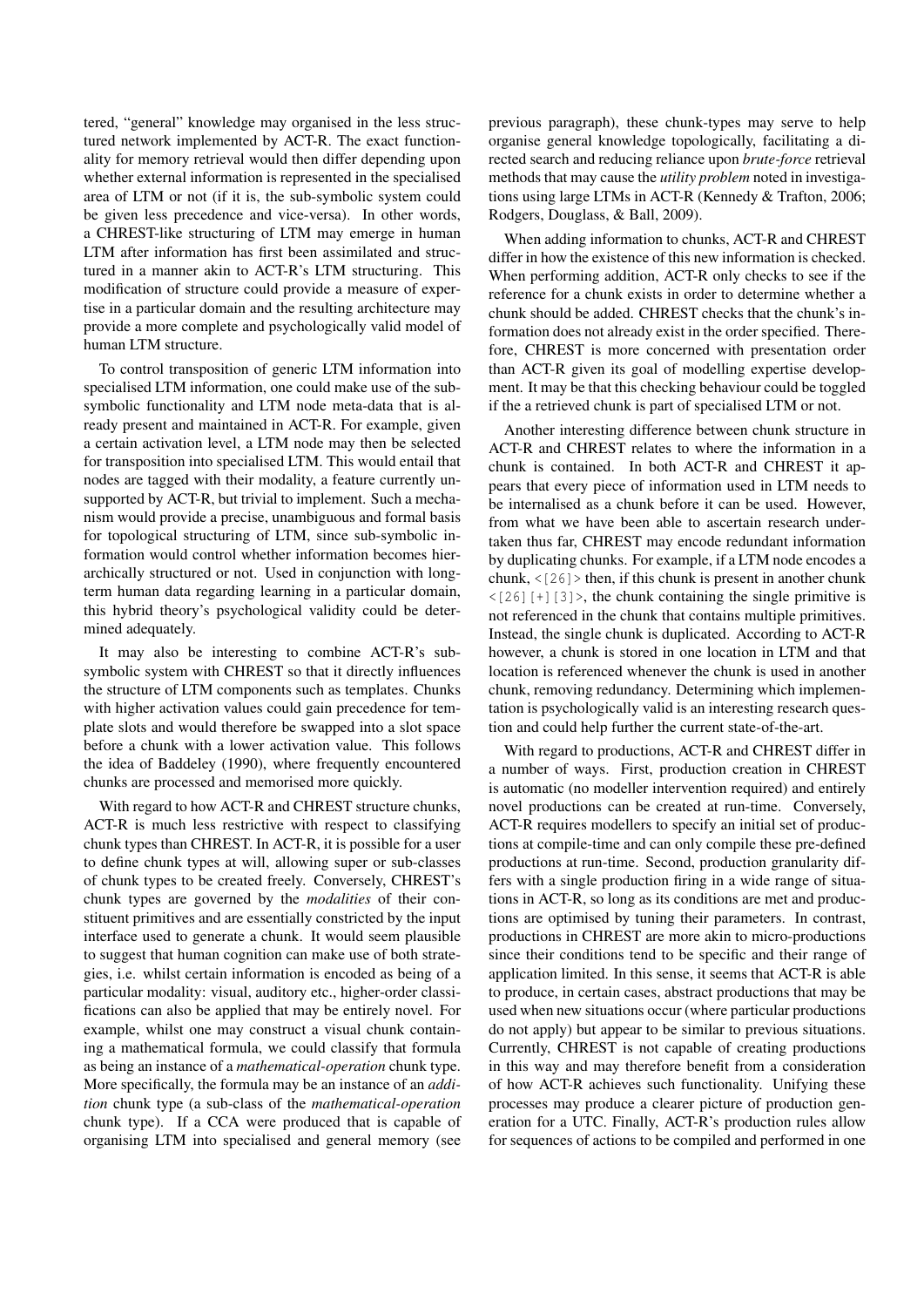tered, "general" knowledge may organised in the less structured network implemented by ACT-R. The exact functionality for memory retrieval would then differ depending upon whether external information is represented in the specialised area of LTM or not (if it is, the sub-symbolic system could be given less precedence and vice-versa). In other words, a CHREST-like structuring of LTM may emerge in human LTM after information has first been assimilated and structured in a manner akin to ACT-R's LTM structuring. This modification of structure could provide a measure of expertise in a particular domain and the resulting architecture may provide a more complete and psychologically valid model of human LTM structure.

To control transposition of generic LTM information into specialised LTM information, one could make use of the subsymbolic functionality and LTM node meta-data that is already present and maintained in ACT-R. For example, given a certain activation level, a LTM node may then be selected for transposition into specialised LTM. This would entail that nodes are tagged with their modality, a feature currently unsupported by ACT-R, but trivial to implement. Such a mechanism would provide a precise, unambiguous and formal basis for topological structuring of LTM, since sub-symbolic information would control whether information becomes hierarchically structured or not. Used in conjunction with longterm human data regarding learning in a particular domain, this hybrid theory's psychological validity could be determined adequately.

It may also be interesting to combine ACT-R's subsymbolic system with CHREST so that it directly influences the structure of LTM components such as templates. Chunks with higher activation values could gain precedence for template slots and would therefore be swapped into a slot space before a chunk with a lower activation value. This follows the idea of Baddeley (1990), where frequently encountered chunks are processed and memorised more quickly.

With regard to how ACT-R and CHREST structure chunks, ACT-R is much less restrictive with respect to classifying chunk types than CHREST. In ACT-R, it is possible for a user to define chunk types at will, allowing super or sub-classes of chunk types to be created freely. Conversely, CHREST's chunk types are governed by the *modalities* of their constituent primitives and are essentially constricted by the input interface used to generate a chunk. It would seem plausible to suggest that human cognition can make use of both strategies, i.e. whilst certain information is encoded as being of a particular modality: visual, auditory etc., higher-order classifications can also be applied that may be entirely novel. For example, whilst one may construct a visual chunk containing a mathematical formula, we could classify that formula as being an instance of a *mathematical-operation* chunk type. More specifically, the formula may be an instance of an *addition* chunk type (a sub-class of the *mathematical-operation* chunk type). If a CCA were produced that is capable of organising LTM into specialised and general memory (see previous paragraph), these chunk-types may serve to help organise general knowledge topologically, facilitating a directed search and reducing reliance upon *brute-force* retrieval methods that may cause the *utility problem* noted in investigations using large LTMs in ACT-R (Kennedy & Trafton, 2006; Rodgers, Douglass, & Ball, 2009).

When adding information to chunks, ACT-R and CHREST differ in how the existence of this new information is checked. When performing addition, ACT-R only checks to see if the reference for a chunk exists in order to determine whether a chunk should be added. CHREST checks that the chunk's information does not already exist in the order specified. Therefore, CHREST is more concerned with presentation order than ACT-R given its goal of modelling expertise development. It may be that this checking behaviour could be toggled if the a retrieved chunk is part of specialised LTM or not.

Another interesting difference between chunk structure in ACT-R and CHREST relates to where the information in a chunk is contained. In both ACT-R and CHREST it appears that every piece of information used in LTM needs to be internalised as a chunk before it can be used. However, from what we have been able to ascertain research undertaken thus far, CHREST may encode redundant information by duplicating chunks. For example, if a LTM node encodes a chunk,  $\langle$ [26] > then, if this chunk is present in another chunk  $\langle 26|$ [+][3]>, the chunk containing the single primitive is not referenced in the chunk that contains multiple primitives. Instead, the single chunk is duplicated. According to ACT-R however, a chunk is stored in one location in LTM and that location is referenced whenever the chunk is used in another chunk, removing redundancy. Determining which implementation is psychologically valid is an interesting research question and could help further the current state-of-the-art.

With regard to productions, ACT-R and CHREST differ in a number of ways. First, production creation in CHREST is automatic (no modeller intervention required) and entirely novel productions can be created at run-time. Conversely, ACT-R requires modellers to specify an initial set of productions at compile-time and can only compile these pre-defined productions at run-time. Second, production granularity differs with a single production firing in a wide range of situations in ACT-R, so long as its conditions are met and productions are optimised by tuning their parameters. In contrast, productions in CHREST are more akin to micro-productions since their conditions tend to be specific and their range of application limited. In this sense, it seems that ACT-R is able to produce, in certain cases, abstract productions that may be used when new situations occur (where particular productions do not apply) but appear to be similar to previous situations. Currently, CHREST is not capable of creating productions in this way and may therefore benefit from a consideration of how ACT-R achieves such functionality. Unifying these processes may produce a clearer picture of production generation for a UTC. Finally, ACT-R's production rules allow for sequences of actions to be compiled and performed in one